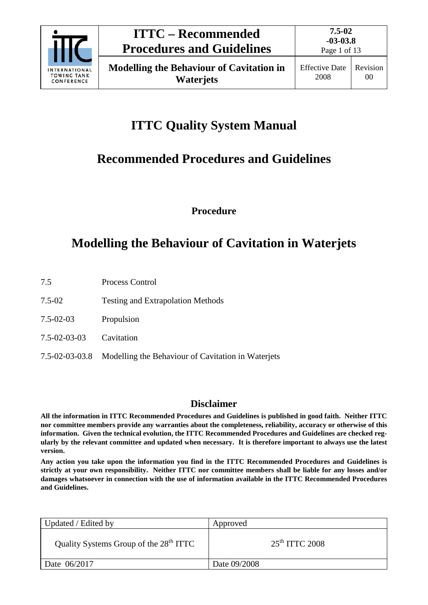

# **ITTC Quality System Manual**

# **Recommended Procedures and Guidelines**

**Procedure**

# **Modelling the Behaviour of Cavitation in Waterjets**

- 7.5 Process Control
- 7.5-02 Testing and Extrapolation Methods
- 7.5-02-03 Propulsion
- 7.5-02-03-03 Cavitation
- 7.5-02-03-03.8 Modelling the Behaviour of Cavitation in Waterjets

# **Disclaimer**

**All the information in ITTC Recommended Procedures and Guidelines is published in good faith. Neither ITTC nor committee members provide any warranties about the completeness, reliability, accuracy or otherwise of this information. Given the technical evolution, the ITTC Recommended Procedures and Guidelines are checked regularly by the relevant committee and updated when necessary. It is therefore important to always use the latest version.**

**Any action you take upon the information you find in the ITTC Recommended Procedures and Guidelines is strictly at your own responsibility. Neither ITTC nor committee members shall be liable for any losses and/or damages whatsoever in connection with the use of information available in the ITTC Recommended Procedures and Guidelines.**

| Updated / Edited by                                | Approved         |
|----------------------------------------------------|------------------|
| Quality Systems Group of the 28 <sup>th</sup> ITTC | $25th$ ITTC 2008 |
| Date 06/2017                                       | Date 09/2008     |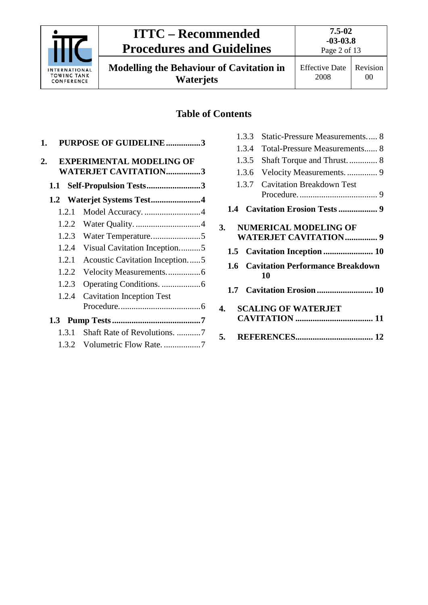

# **ITTC – Recommended Procedures and Guidelines**

**7.5-02 -03-03.8** Page 2 of 13

**Modelling the Behaviour of Cavitation in Waterjets**

# **Table of Contents**

| 1. |       | PURPOSE OF GUIDELINE3                                          |
|----|-------|----------------------------------------------------------------|
| 2. |       | <b>EXPERIMENTAL MODELING OF</b><br><b>WATERJET CAVITATION3</b> |
|    | 1.1   | Self-Propulsion Tests3                                         |
|    | 1.2   | Waterjet Systems Test4                                         |
|    | 1.2.1 | Model Accuracy. 4                                              |
|    | 1.2.2 |                                                                |
|    | 1.2.3 | Water Temperature5                                             |
|    | 1.2.4 | Visual Cavitation Inception5                                   |
|    | 1.2.1 | <b>Acoustic Cavitation Inception5</b>                          |
|    | 1.2.2 |                                                                |
|    | 1.2.3 |                                                                |
|    | 1.2.4 | <b>Cavitation Inception Test</b>                               |
|    |       |                                                                |
|    |       |                                                                |
|    | 1.3.1 | Shaft Rate of Revolutions. 7                                   |
|    |       | 1.3.2 Volumetric Flow Rate. 7                                  |

|    | 1.3.3         | Static-Pressure Measurements 8                               |
|----|---------------|--------------------------------------------------------------|
|    | 1.3.4         | <b>Total-Pressure Measurements 8</b>                         |
|    | 1.3.5         |                                                              |
|    | 1.3.6         | Velocity Measurements.  9                                    |
|    | 1.3.7         | <b>Cavitation Breakdown Test</b>                             |
|    |               |                                                              |
|    |               |                                                              |
| 3. |               | <b>NUMERICAL MODELING OF</b><br><b>WATERJET CAVITATION 9</b> |
|    | 1.5           |                                                              |
|    | $1.6^{\circ}$ | <b>Cavitation Performance Breakdown</b><br>10                |
|    |               |                                                              |
| 4. |               | <b>SCALING OF WATERJET</b>                                   |
|    |               |                                                              |
|    |               |                                                              |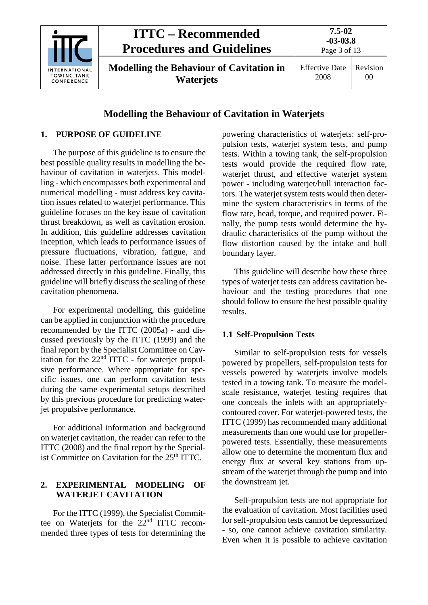

# **Modelling the Behaviour of Cavitation in Waterjets**

# <span id="page-2-0"></span>**1. PURPOSE OF GUIDELINE**

The purpose of this guideline is to ensure the best possible quality results in modelling the behaviour of cavitation in waterjets. This modelling - which encompasses both experimental and numerical modelling - must address key cavitation issues related to waterjet performance. This guideline focuses on the key issue of cavitation thrust breakdown, as well as cavitation erosion. In addition, this guideline addresses cavitation inception, which leads to performance issues of pressure fluctuations, vibration, fatigue, and noise. These latter performance issues are not addressed directly in this guideline. Finally, this guideline will briefly discuss the scaling of these cavitation phenomena.

For experimental modelling, this guideline can be applied in conjunction with the procedure recommended by the ITTC (2005a) - and discussed previously by the ITTC (1999) and the final report by the Specialist Committee on Cavitation for the 22nd ITTC - for waterjet propulsive performance. Where appropriate for specific issues, one can perform cavitation tests during the same experimental setups described by this previous procedure for predicting waterjet propulsive performance.

For additional information and background on waterjet cavitation, the reader can refer to the ITTC (2008) and the final report by the Specialist Committee on Cavitation for the 25<sup>th</sup> ITTC.

# <span id="page-2-1"></span>**2. EXPERIMENTAL MODELING OF WATERJET CAVITATION**

For the ITTC (1999), the Specialist Committee on Waterjets for the 22nd ITTC recommended three types of tests for determining the powering characteristics of waterjets: self-propulsion tests, waterjet system tests, and pump tests. Within a towing tank, the self-propulsion tests would provide the required flow rate, waterjet thrust, and effective waterjet system power - including waterjet/hull interaction factors. The waterjet system tests would then determine the system characteristics in terms of the flow rate, head, torque, and required power. Finally, the pump tests would determine the hydraulic characteristics of the pump without the flow distortion caused by the intake and hull boundary layer.

This guideline will describe how these three types of waterjet tests can address cavitation behaviour and the testing procedures that one should follow to ensure the best possible quality results.

# <span id="page-2-2"></span>**1.1 Self-Propulsion Tests**

Similar to self-propulsion tests for vessels powered by propellers, self-propulsion tests for vessels powered by waterjets involve models tested in a towing tank. To measure the modelscale resistance, waterjet testing requires that one conceals the inlets with an appropriatelycontoured cover. For waterjet-powered tests, the ITTC (1999) has recommended many additional measurements than one would use for propellerpowered tests. Essentially, these measurements allow one to determine the momentum flux and energy flux at several key stations from upstream of the waterjet through the pump and into the downstream jet.

Self-propulsion tests are not appropriate for the evaluation of cavitation. Most facilities used for self-propulsion tests cannot be depressurized - so, one cannot achieve cavitation similarity. Even when it is possible to achieve cavitation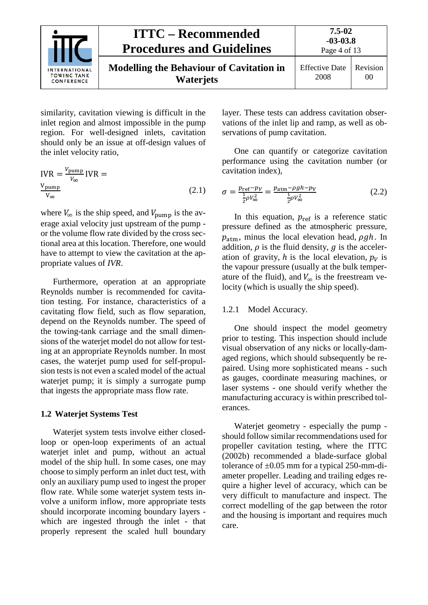

similarity, cavitation viewing is difficult in the inlet region and almost impossible in the pump region. For well-designed inlets, cavitation should only be an issue at off-design values of the inlet velocity ratio,

$$
IVR = \frac{V_{\text{pump}}}{V_{\infty}} IVR =
$$
  

$$
\frac{V_{\text{pump}}}{V_{\infty}}
$$
 (2.1)

where  $V_{\infty}$  is the ship speed, and  $V_{\text{pump}}$  is the average axial velocity just upstream of the pump or the volume flow rate divided by the cross sectional area at this location. Therefore, one would have to attempt to view the cavitation at the appropriate values of *IVR*.

Furthermore, operation at an appropriate Reynolds number is recommended for cavitation testing. For instance, characteristics of a cavitating flow field, such as flow separation, depend on the Reynolds number. The speed of the towing-tank carriage and the small dimensions of the waterjet model do not allow for testing at an appropriate Reynolds number. In most cases, the waterjet pump used for self-propulsion tests is not even a scaled model of the actual waterjet pump; it is simply a surrogate pump that ingests the appropriate mass flow rate.

# <span id="page-3-0"></span>**1.2 Waterjet Systems Test**

Waterjet system tests involve either closedloop or open-loop experiments of an actual waterjet inlet and pump, without an actual model of the ship hull. In some cases, one may choose to simply perform an inlet duct test, with only an auxiliary pump used to ingest the proper flow rate. While some waterjet system tests involve a uniform inflow, more appropriate tests should incorporate incoming boundary layers which are ingested through the inlet - that properly represent the scaled hull boundary

layer. These tests can address cavitation observations of the inlet lip and ramp, as well as observations of pump cavitation.

One can quantify or categorize cavitation performance using the cavitation number (or cavitation index),

$$
\sigma = \frac{p_{\text{ref}} - p_V}{\frac{1}{2}\rho V_{\infty}^2} = \frac{p_{\text{atm}} - \rho g h - p_V}{\frac{1}{2}\rho V_{\infty}^2}
$$
(2.2)

In this equation,  $p_{ref}$  is a reference static pressure defined as the atmospheric pressure,  $p_{\text{atm}}$ , minus the local elevation head,  $\rho gh$ . In addition,  $\rho$  is the fluid density,  $q$  is the acceleration of gravity, h is the local elevation,  $p_V$  is the vapour pressure (usually at the bulk temperature of the fluid), and  $V_{\infty}$  is the freestream velocity (which is usually the ship speed).

# <span id="page-3-1"></span>1.2.1 Model Accuracy.

One should inspect the model geometry prior to testing. This inspection should include visual observation of any nicks or locally-damaged regions, which should subsequently be repaired. Using more sophisticated means - such as gauges, coordinate measuring machines, or laser systems - one should verify whether the manufacturing accuracy is within prescribed tolerances.

Waterjet geometry - especially the pump should follow similar recommendations used for propeller cavitation testing, where the ITTC (2002b) recommended a blade-surface global tolerance of  $\pm 0.05$  mm for a typical 250-mm-diameter propeller. Leading and trailing edges require a higher level of accuracy, which can be very difficult to manufacture and inspect. The correct modelling of the gap between the rotor and the housing is important and requires much care.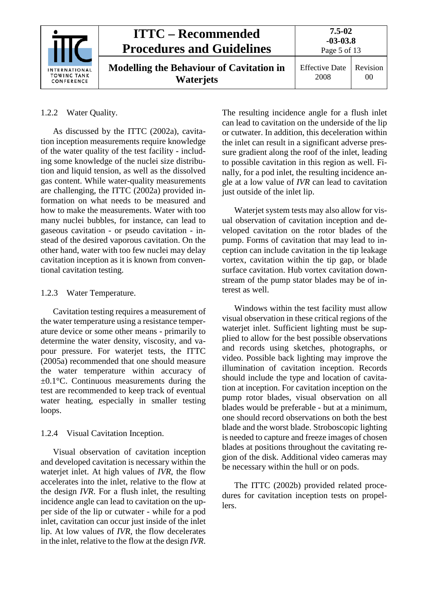|                                                          | <b>ITTC – Recommended</b><br><b>Procedures and Guidelines</b>       | 7.5-02<br>$-03-03.8$<br>Page 5 of 13 |                |
|----------------------------------------------------------|---------------------------------------------------------------------|--------------------------------------|----------------|
| <b>INTERNATIONAL</b><br><b>TOWING TANK</b><br>CONFERENCE | <b>Modelling the Behaviour of Cavitation in</b><br><b>Waterjets</b> | <b>Effective Date</b><br>2008        | Revision<br>00 |

# <span id="page-4-0"></span>1.2.2 Water Quality.

As discussed by the ITTC (2002a), cavitation inception measurements require knowledge of the water quality of the test facility - including some knowledge of the nuclei size distribution and liquid tension, as well as the dissolved gas content. While water-quality measurements are challenging, the ITTC (2002a) provided information on what needs to be measured and how to make the measurements. Water with too many nuclei bubbles, for instance, can lead to gaseous cavitation - or pseudo cavitation - instead of the desired vaporous cavitation. On the other hand, water with too few nuclei may delay cavitation inception as it is known from conventional cavitation testing.

# <span id="page-4-1"></span>1.2.3 Water Temperature.

Cavitation testing requires a measurement of the water temperature using a resistance temperature device or some other means - primarily to determine the water density, viscosity, and vapour pressure. For waterjet tests, the ITTC (2005a) recommended that one should measure the water temperature within accuracy of  $\pm 0.1^{\circ}$ C. Continuous measurements during the test are recommended to keep track of eventual water heating, especially in smaller testing loops.

# <span id="page-4-2"></span>1.2.4 Visual Cavitation Inception.

Visual observation of cavitation inception and developed cavitation is necessary within the waterjet inlet. At high values of *IVR*, the flow accelerates into the inlet, relative to the flow at the design *IVR*. For a flush inlet, the resulting incidence angle can lead to cavitation on the upper side of the lip or cutwater - while for a pod inlet, cavitation can occur just inside of the inlet lip. At low values of *IVR*, the flow decelerates in the inlet, relative to the flow at the design *IVR*.

The resulting incidence angle for a flush inlet can lead to cavitation on the underside of the lip or cutwater. In addition, this deceleration within the inlet can result in a significant adverse pressure gradient along the roof of the inlet, leading to possible cavitation in this region as well. Finally, for a pod inlet, the resulting incidence angle at a low value of *IVR* can lead to cavitation just outside of the inlet lip.

Waterjet system tests may also allow for visual observation of cavitation inception and developed cavitation on the rotor blades of the pump. Forms of cavitation that may lead to inception can include cavitation in the tip leakage vortex, cavitation within the tip gap, or blade surface cavitation. Hub vortex cavitation downstream of the pump stator blades may be of interest as well.

Windows within the test facility must allow visual observation in these critical regions of the waterjet inlet. Sufficient lighting must be supplied to allow for the best possible observations and records using sketches, photographs, or video. Possible back lighting may improve the illumination of cavitation inception. Records should include the type and location of cavitation at inception. For cavitation inception on the pump rotor blades, visual observation on all blades would be preferable - but at a minimum, one should record observations on both the best blade and the worst blade. Stroboscopic lighting is needed to capture and freeze images of chosen blades at positions throughout the cavitating region of the disk. Additional video cameras may be necessary within the hull or on pods.

The ITTC (2002b) provided related procedures for cavitation inception tests on propellers.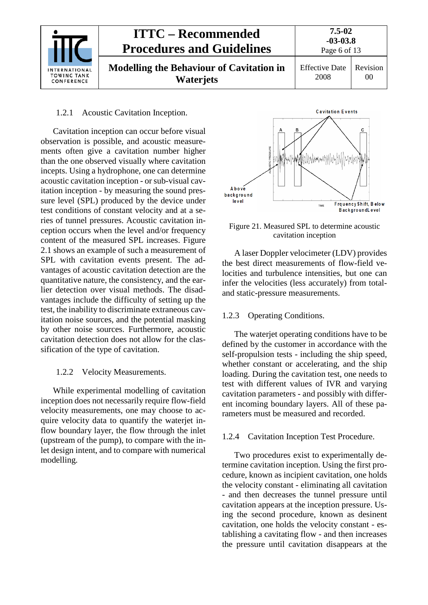

#### <span id="page-5-0"></span>1.2.1 Acoustic Cavitation Inception.

Cavitation inception can occur before visual observation is possible, and acoustic measurements often give a cavitation number higher than the one observed visually where cavitation incepts. Using a hydrophone, one can determine acoustic cavitation inception - or sub-visual cavitation inception - by measuring the sound pressure level (SPL) produced by the device under test conditions of constant velocity and at a series of tunnel pressures. Acoustic cavitation inception occurs when the level and/or frequency content of the measured SPL increases. Figure 2.1 shows an example of such a measurement of SPL with cavitation events present. The advantages of acoustic cavitation detection are the quantitative nature, the consistency, and the earlier detection over visual methods. The disadvantages include the difficulty of setting up the test, the inability to discriminate extraneous cavitation noise sources, and the potential masking by other noise sources. Furthermore, acoustic cavitation detection does not allow for the classification of the type of cavitation.

#### <span id="page-5-1"></span>1.2.2 Velocity Measurements.

While experimental modelling of cavitation inception does not necessarily require flow-field velocity measurements, one may choose to acquire velocity data to quantify the waterjet inflow boundary layer, the flow through the inlet (upstream of the pump), to compare with the inlet design intent, and to compare with numerical modelling.



Figure 21. Measured SPL to determine acoustic cavitation inception

A laser Doppler velocimeter (LDV) provides the best direct measurements of flow-field velocities and turbulence intensities, but one can infer the velocities (less accurately) from totaland static-pressure measurements.

#### <span id="page-5-2"></span>1.2.3 Operating Conditions.

The waterjet operating conditions have to be defined by the customer in accordance with the self-propulsion tests - including the ship speed, whether constant or accelerating, and the ship loading. During the cavitation test, one needs to test with different values of IVR and varying cavitation parameters - and possibly with different incoming boundary layers. All of these parameters must be measured and recorded.

#### <span id="page-5-3"></span>1.2.4 Cavitation Inception Test Procedure.

Two procedures exist to experimentally determine cavitation inception. Using the first procedure, known as incipient cavitation, one holds the velocity constant - eliminating all cavitation - and then decreases the tunnel pressure until cavitation appears at the inception pressure. Using the second procedure, known as desinent cavitation, one holds the velocity constant - establishing a cavitating flow - and then increases the pressure until cavitation disappears at the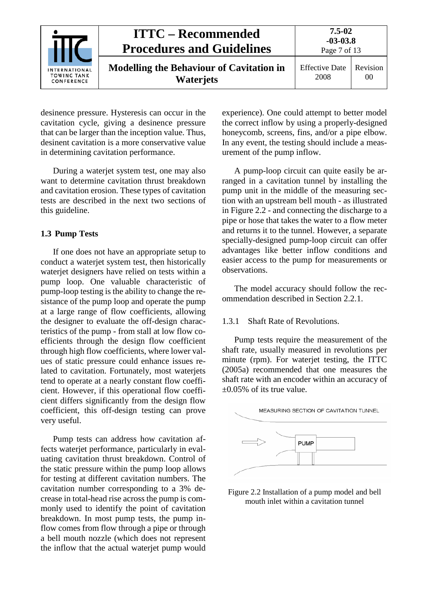|                                            | <b>ITTC – Recommended</b><br><b>Procedures and Guidelines</b>       | $7.5 - 02$<br>$-03-03.8$<br>Page 7 of 13 |                |
|--------------------------------------------|---------------------------------------------------------------------|------------------------------------------|----------------|
| INTERNATIONAL<br>TOWING TANK<br>CONFERENCE | <b>Modelling the Behaviour of Cavitation in</b><br><b>Waterjets</b> | <b>Effective Date</b><br>2008            | Revision<br>00 |

desinence pressure. Hysteresis can occur in the cavitation cycle, giving a desinence pressure that can be larger than the inception value. Thus, desinent cavitation is a more conservative value in determining cavitation performance.

During a waterjet system test, one may also want to determine cavitation thrust breakdown and cavitation erosion. These types of cavitation tests are described in the next two sections of this guideline.

# <span id="page-6-0"></span>**1.3 Pump Tests**

If one does not have an appropriate setup to conduct a waterjet system test, then historically wateriet designers have relied on tests within a pump loop. One valuable characteristic of pump-loop testing is the ability to change the resistance of the pump loop and operate the pump at a large range of flow coefficients, allowing the designer to evaluate the off-design characteristics of the pump - from stall at low flow coefficients through the design flow coefficient through high flow coefficients, where lower values of static pressure could enhance issues related to cavitation. Fortunately, most waterjets tend to operate at a nearly constant flow coefficient. However, if this operational flow coefficient differs significantly from the design flow coefficient, this off-design testing can prove very useful.

Pump tests can address how cavitation affects waterjet performance, particularly in evaluating cavitation thrust breakdown. Control of the static pressure within the pump loop allows for testing at different cavitation numbers. The cavitation number corresponding to a 3% decrease in total-head rise across the pump is commonly used to identify the point of cavitation breakdown. In most pump tests, the pump inflow comes from flow through a pipe or through a bell mouth nozzle (which does not represent the inflow that the actual waterjet pump would experience). One could attempt to better model the correct inflow by using a properly-designed honeycomb, screens, fins, and/or a pipe elbow. In any event, the testing should include a measurement of the pump inflow.

A pump-loop circuit can quite easily be arranged in a cavitation tunnel by installing the pump unit in the middle of the measuring section with an upstream bell mouth - as illustrated in Figure 2.2 - and connecting the discharge to a pipe or hose that takes the water to a flow meter and returns it to the tunnel. However, a separate specially-designed pump-loop circuit can offer advantages like better inflow conditions and easier access to the pump for measurements or observations.

The model accuracy should follow the recommendation described in Section 2.2.1.

# <span id="page-6-1"></span>1.3.1 Shaft Rate of Revolutions.

Pump tests require the measurement of the shaft rate, usually measured in revolutions per minute (rpm). For waterjet testing, the ITTC (2005a) recommended that one measures the shaft rate with an encoder within an accuracy of  $\pm 0.05\%$  of its true value.



Figure 2.2 Installation of a pump model and bell mouth inlet within a cavitation tunnel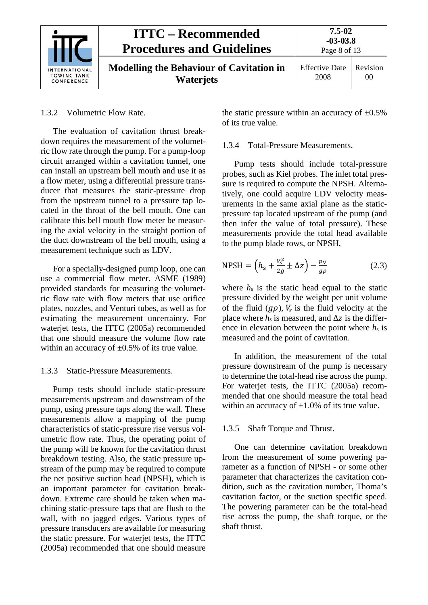

<span id="page-7-0"></span>1.3.2 Volumetric Flow Rate.

The evaluation of cavitation thrust breakdown requires the measurement of the volumetric flow rate through the pump. For a pump-loop circuit arranged within a cavitation tunnel, one can install an upstream bell mouth and use it as a flow meter, using a differential pressure transducer that measures the static-pressure drop from the upstream tunnel to a pressure tap located in the throat of the bell mouth. One can calibrate this bell mouth flow meter be measuring the axial velocity in the straight portion of the duct downstream of the bell mouth, using a measurement technique such as LDV.

For a specially-designed pump loop, one can use a commercial flow meter. ASME (1989) provided standards for measuring the volumetric flow rate with flow meters that use orifice plates, nozzles, and Venturi tubes, as well as for estimating the measurement uncertainty. For wateriet tests, the ITTC (2005a) recommended that one should measure the volume flow rate within an accuracy of  $\pm 0.5\%$  of its true value.

# <span id="page-7-1"></span>1.3.3 Static-Pressure Measurements.

Pump tests should include static-pressure measurements upstream and downstream of the pump, using pressure taps along the wall. These measurements allow a mapping of the pump characteristics of static-pressure rise versus volumetric flow rate. Thus, the operating point of the pump will be known for the cavitation thrust breakdown testing. Also, the static pressure upstream of the pump may be required to compute the net positive suction head (NPSH), which is an important parameter for cavitation breakdown. Extreme care should be taken when machining static-pressure taps that are flush to the wall, with no jagged edges. Various types of pressure transducers are available for measuring the static pressure. For waterjet tests, the ITTC (2005a) recommended that one should measure

the static pressure within an accuracy of  $\pm 0.5\%$ of its true value.

# <span id="page-7-2"></span>1.3.4 Total-Pressure Measurements.

Pump tests should include total-pressure probes, such as Kiel probes. The inlet total pressure is required to compute the NPSH. Alternatively, one could acquire LDV velocity measurements in the same axial plane as the staticpressure tap located upstream of the pump (and then infer the value of total pressure). These measurements provide the total head available to the pump blade rows, or NPSH,

$$
NPSH = \left(h_s + \frac{v_s^2}{2g} \pm \Delta z\right) - \frac{p_V}{g\rho} \tag{2.3}
$$

where  $h<sub>s</sub>$  is the static head equal to the static pressure divided by the weight per unit volume of the fluid  $(q\rho)$ ,  $V_s$  is the fluid velocity at the place where  $h_s$  is measured, and  $\Delta z$  is the difference in elevation between the point where  $h_s$  is measured and the point of cavitation.

In addition, the measurement of the total pressure downstream of the pump is necessary to determine the total-head rise across the pump. For waterjet tests, the ITTC (2005a) recommended that one should measure the total head within an accuracy of  $\pm 1.0\%$  of its true value.

# <span id="page-7-3"></span>1.3.5 Shaft Torque and Thrust.

One can determine cavitation breakdown from the measurement of some powering parameter as a function of NPSH - or some other parameter that characterizes the cavitation condition, such as the cavitation number, Thoma's cavitation factor, or the suction specific speed. The powering parameter can be the total-head rise across the pump, the shaft torque, or the shaft thrust.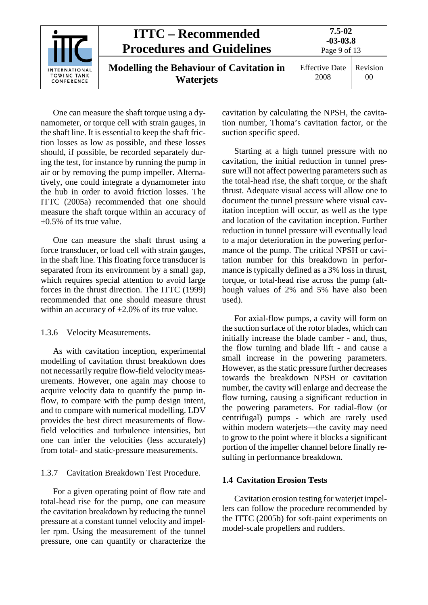|                                                   | <b>ITTC – Recommended</b><br><b>Procedures and Guidelines</b>       | 7.5-02<br>$-03-03.8$<br>Page 9 of 13 |                |
|---------------------------------------------------|---------------------------------------------------------------------|--------------------------------------|----------------|
| <b>INTERNATIONAL</b><br>TOWING TANK<br>CONFERENCE | <b>Modelling the Behaviour of Cavitation in</b><br><b>Waterjets</b> | <b>Effective Date</b><br>2008        | Revision<br>00 |

One can measure the shaft torque using a dynamometer, or torque cell with strain gauges, in the shaft line. It is essential to keep the shaft friction losses as low as possible, and these losses should, if possible, be recorded separately during the test, for instance by running the pump in air or by removing the pump impeller. Alternatively, one could integrate a dynamometer into the hub in order to avoid friction losses. The ITTC (2005a) recommended that one should measure the shaft torque within an accuracy of  $\pm 0.5\%$  of its true value.

One can measure the shaft thrust using a force transducer, or load cell with strain gauges, in the shaft line. This floating force transducer is separated from its environment by a small gap, which requires special attention to avoid large forces in the thrust direction. The ITTC (1999) recommended that one should measure thrust within an accuracy of  $\pm 2.0\%$  of its true value.

<span id="page-8-0"></span>1.3.6 Velocity Measurements.

As with cavitation inception, experimental modelling of cavitation thrust breakdown does not necessarily require flow-field velocity measurements. However, one again may choose to acquire velocity data to quantify the pump inflow, to compare with the pump design intent, and to compare with numerical modelling. LDV provides the best direct measurements of flowfield velocities and turbulence intensities, but one can infer the velocities (less accurately) from total- and static-pressure measurements.

# <span id="page-8-1"></span>1.3.7 Cavitation Breakdown Test Procedure.

For a given operating point of flow rate and total-head rise for the pump, one can measure the cavitation breakdown by reducing the tunnel pressure at a constant tunnel velocity and impeller rpm. Using the measurement of the tunnel pressure, one can quantify or characterize the cavitation by calculating the NPSH, the cavitation number, Thoma's cavitation factor, or the suction specific speed.

Starting at a high tunnel pressure with no cavitation, the initial reduction in tunnel pressure will not affect powering parameters such as the total-head rise, the shaft torque, or the shaft thrust. Adequate visual access will allow one to document the tunnel pressure where visual cavitation inception will occur, as well as the type and location of the cavitation inception. Further reduction in tunnel pressure will eventually lead to a major deterioration in the powering performance of the pump. The critical NPSH or cavitation number for this breakdown in performance is typically defined as a 3% loss in thrust, torque, or total-head rise across the pump (although values of 2% and 5% have also been used).

For axial-flow pumps, a cavity will form on the suction surface of the rotor blades, which can initially increase the blade camber - and, thus, the flow turning and blade lift - and cause a small increase in the powering parameters. However, as the static pressure further decreases towards the breakdown NPSH or cavitation number, the cavity will enlarge and decrease the flow turning, causing a significant reduction in the powering parameters. For radial-flow (or centrifugal) pumps - which are rarely used within modern waterjets—the cavity may need to grow to the point where it blocks a significant portion of the impeller channel before finally resulting in performance breakdown.

# <span id="page-8-2"></span>**1.4 Cavitation Erosion Tests**

Cavitation erosion testing for waterjet impellers can follow the procedure recommended by the ITTC (2005b) for soft-paint experiments on model-scale propellers and rudders.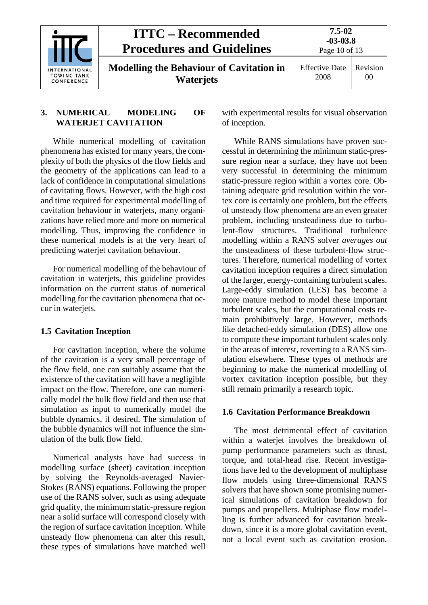|                                                          | <b>ITTC – Recommended</b><br><b>Procedures and Guidelines</b>       | $7.5 - 02$<br>$-03-03.8$<br>Page 10 of 13 |                            |
|----------------------------------------------------------|---------------------------------------------------------------------|-------------------------------------------|----------------------------|
| <b>INTERNATIONAL</b><br><b>TOWING TANK</b><br>CONFERENCE | <b>Modelling the Behaviour of Cavitation in</b><br><b>Waterjets</b> | <b>Effective Date</b><br>2008             | Revision<br>0 <sup>0</sup> |

# <span id="page-9-0"></span>**3. NUMERICAL MODELING OF WATERJET CAVITATION**

While numerical modelling of cavitation phenomena has existed for many years, the complexity of both the physics of the flow fields and the geometry of the applications can lead to a lack of confidence in computational simulations of cavitating flows. However, with the high cost and time required for experimental modelling of cavitation behaviour in waterjets, many organizations have relied more and more on numerical modelling. Thus, improving the confidence in these numerical models is at the very heart of predicting waterjet cavitation behaviour.

For numerical modelling of the behaviour of cavitation in waterjets, this guideline provides information on the current status of numerical modelling for the cavitation phenomena that occur in waterjets.

# <span id="page-9-1"></span>**1.5 Cavitation Inception**

For cavitation inception, where the volume of the cavitation is a very small percentage of the flow field, one can suitably assume that the existence of the cavitation will have a negligible impact on the flow. Therefore, one can numerically model the bulk flow field and then use that simulation as input to numerically model the bubble dynamics, if desired. The simulation of the bubble dynamics will not influence the simulation of the bulk flow field.

Numerical analysts have had success in modelling surface (sheet) cavitation inception by solving the Reynolds-averaged Navier-Stokes (RANS) equations. Following the proper use of the RANS solver, such as using adequate grid quality, the minimum static-pressure region near a solid surface will correspond closely with the region of surface cavitation inception. While unsteady flow phenomena can alter this result, these types of simulations have matched well

with experimental results for visual observation of inception.

While RANS simulations have proven successful in determining the minimum static-pressure region near a surface, they have not been very successful in determining the minimum static-pressure region within a vortex core. Obtaining adequate grid resolution within the vortex core is certainly one problem, but the effects of unsteady flow phenomena are an even greater problem, including unsteadiness due to turbulent-flow structures. Traditional turbulence modelling within a RANS solver *averages out* the unsteadiness of these turbulent-flow structures. Therefore, numerical modelling of vortex cavitation inception requires a direct simulation of the larger, energy-containing turbulent scales. Large-eddy simulation (LES) has become a more mature method to model these important turbulent scales, but the computational costs remain prohibitively large. However, methods like detached-eddy simulation (DES) allow one to compute these important turbulent scales only in the areas of interest, reverting to a RANS simulation elsewhere. These types of methods are beginning to make the numerical modelling of vortex cavitation inception possible, but they still remain primarily a research topic.

#### <span id="page-9-2"></span>**1.6 Cavitation Performance Breakdown**

The most detrimental effect of cavitation within a waterjet involves the breakdown of pump performance parameters such as thrust, torque, and total-head rise. Recent investigations have led to the development of multiphase flow models using three-dimensional RANS solvers that have shown some promising numerical simulations of cavitation breakdown for pumps and propellers. Multiphase flow modelling is further advanced for cavitation breakdown, since it is a more global cavitation event, not a local event such as cavitation erosion.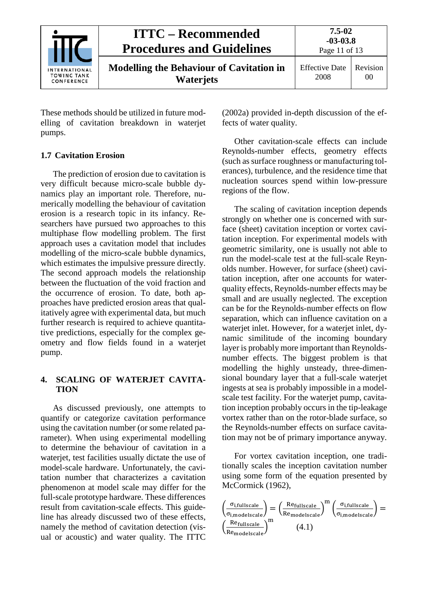|                                                   | <b>ITTC – Recommended</b><br><b>Procedures and Guidelines</b>       | $7.5 - 02$<br>$-03-03.8$<br>Page 11 of 13 |                            |
|---------------------------------------------------|---------------------------------------------------------------------|-------------------------------------------|----------------------------|
| <b>INTERNATIONAL</b><br>TOWING TANK<br>CONFERENCE | <b>Modelling the Behaviour of Cavitation in</b><br><b>Waterjets</b> | <b>Effective Date</b><br>2008             | Revision<br>0 <sup>0</sup> |

These methods should be utilized in future modelling of cavitation breakdown in waterjet pumps.

# <span id="page-10-0"></span>**1.7 Cavitation Erosion**

The prediction of erosion due to cavitation is very difficult because micro-scale bubble dynamics play an important role. Therefore, numerically modelling the behaviour of cavitation erosion is a research topic in its infancy. Researchers have pursued two approaches to this multiphase flow modelling problem. The first approach uses a cavitation model that includes modelling of the micro-scale bubble dynamics, which estimates the impulsive pressure directly. The second approach models the relationship between the fluctuation of the void fraction and the occurrence of erosion. To date, both approaches have predicted erosion areas that qualitatively agree with experimental data, but much further research is required to achieve quantitative predictions, especially for the complex geometry and flow fields found in a waterjet pump.

# <span id="page-10-1"></span>**4. SCALING OF WATERJET CAVITA-TION**

As discussed previously, one attempts to quantify or categorize cavitation performance using the cavitation number (or some related parameter). When using experimental modelling to determine the behaviour of cavitation in a waterjet, test facilities usually dictate the use of model-scale hardware. Unfortunately, the cavitation number that characterizes a cavitation phenomenon at model scale may differ for the full-scale prototype hardware. These differences result from cavitation-scale effects. This guideline has already discussed two of these effects, namely the method of cavitation detection (visual or acoustic) and water quality. The ITTC

(2002a) provided in-depth discussion of the effects of water quality.

Other cavitation-scale effects can include Reynolds-number effects, geometry effects (such as surface roughness or manufacturing tolerances), turbulence, and the residence time that nucleation sources spend within low-pressure regions of the flow.

The scaling of cavitation inception depends strongly on whether one is concerned with surface (sheet) cavitation inception or vortex cavitation inception. For experimental models with geometric similarity, one is usually not able to run the model-scale test at the full-scale Reynolds number. However, for surface (sheet) cavitation inception, after one accounts for waterquality effects, Reynolds-number effects may be small and are usually neglected. The exception can be for the Reynolds-number effects on flow separation, which can influence cavitation on a waterjet inlet. However, for a waterjet inlet, dynamic similitude of the incoming boundary layer is probably more important than Reynoldsnumber effects. The biggest problem is that modelling the highly unsteady, three-dimensional boundary layer that a full-scale waterjet ingests at sea is probably impossible in a modelscale test facility. For the waterjet pump, cavitation inception probably occurs in the tip-leakage vortex rather than on the rotor-blade surface, so the Reynolds-number effects on surface cavitation may not be of primary importance anyway.

For vortex cavitation inception, one traditionally scales the inception cavitation number using some form of the equation presented by McCormick (1962),

$$
\left(\frac{\sigma_{i,fullscale}}{\sigma_{i,mode-scale}}\right) = \left(\frac{Re_{fullscale}}{Re_{mode-scale}}\right)^{m} \left(\frac{\sigma_{i,fullscale}}{\sigma_{i,mode-scale}}\right) = \left(\frac{Re_{fullscale}}{Re_{mode-scale}}\right)^{m} \left(\frac{m_{i,mode-scale}}{\sigma_{i,mode-scale}}\right)
$$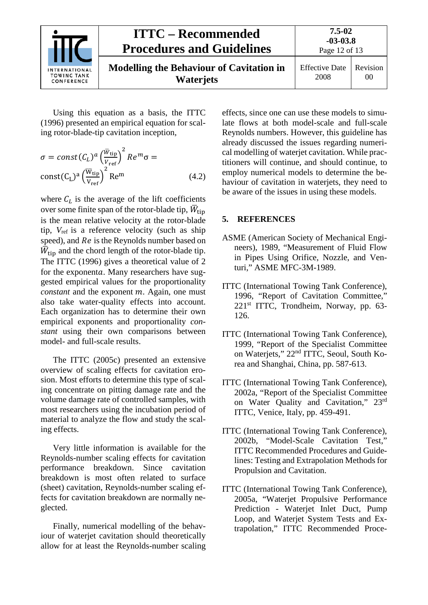

Using this equation as a basis, the ITTC (1996) presented an empirical equation for scaling rotor-blade-tip cavitation inception,

$$
\sigma = const(C_L)^a \left(\frac{\overline{w}_{\text{tip}}}{v_{\text{ref}}}\right)^2 Re^m \sigma =
$$
  
const(C\_L)<sup>a</sup> $\left(\frac{\overline{w}_{\text{tip}}}{v_{\text{ref}}}\right)^2$ Re<sup>m</sup> (4.2)

where  $C_L$  is the average of the lift coefficients over some finite span of the rotor-blade tip,  $\bar{W}_{\text{tip}}$ is the mean relative velocity at the rotor-blade tip, *V*ref is a reference velocity (such as ship speed), and Re is the Reynolds number based on  $\overline{W}_{\text{tip}}$  and the chord length of the rotor-blade tip. The ITTC (1996) gives a theoretical value of 2 for the exponenta. Many researchers have suggested empirical values for the proportionality *constant* and the exponent  $m$ . Again, one must also take water-quality effects into account. Each organization has to determine their own empirical exponents and proportionality *constant* using their own comparisons between model- and full-scale results.

The ITTC (2005c) presented an extensive overview of scaling effects for cavitation erosion. Most efforts to determine this type of scaling concentrate on pitting damage rate and the volume damage rate of controlled samples, with most researchers using the incubation period of material to analyze the flow and study the scaling effects.

Very little information is available for the Reynolds-number scaling effects for cavitation performance breakdown. Since cavitation breakdown is most often related to surface (sheet) cavitation, Reynolds-number scaling effects for cavitation breakdown are normally neglected.

Finally, numerical modelling of the behaviour of waterjet cavitation should theoretically allow for at least the Reynolds-number scaling

effects, since one can use these models to simulate flows at both model-scale and full-scale Reynolds numbers. However, this guideline has already discussed the issues regarding numerical modelling of waterjet cavitation. While practitioners will continue, and should continue, to employ numerical models to determine the behaviour of cavitation in waterjets, they need to be aware of the issues in using these models.

# <span id="page-11-0"></span>**5. REFERENCES**

- ASME (American Society of Mechanical Engineers), 1989, "Measurement of Fluid Flow in Pipes Using Orifice, Nozzle, and Venturi," ASME MFC-3M-1989.
- ITTC (International Towing Tank Conference), 1996, "Report of Cavitation Committee," 221st ITTC, Trondheim, Norway, pp. 63- 126.
- ITTC (International Towing Tank Conference), 1999, "Report of the Specialist Committee on Waterjets," 22nd ITTC, Seoul, South Korea and Shanghai, China, pp. 587-613.
- ITTC (International Towing Tank Conference), 2002a, "Report of the Specialist Committee on Water Quality and Cavitation," 23rd ITTC, Venice, Italy, pp. 459-491.
- ITTC (International Towing Tank Conference), 2002b, "Model-Scale Cavitation Test," ITTC Recommended Procedures and Guidelines: Testing and Extrapolation Methods for Propulsion and Cavitation.
- ITTC (International Towing Tank Conference), 2005a, "Waterjet Propulsive Performance Prediction - Waterjet Inlet Duct, Pump Loop, and Waterjet System Tests and Extrapolation," ITTC Recommended Proce-